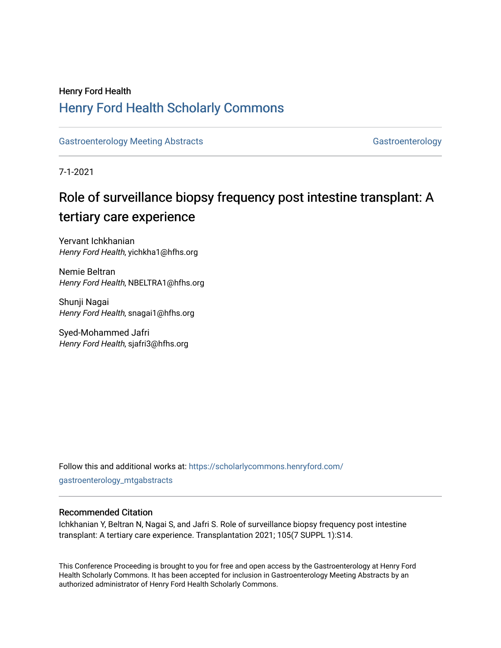## Henry Ford Health [Henry Ford Health Scholarly Commons](https://scholarlycommons.henryford.com/)

[Gastroenterology Meeting Abstracts](https://scholarlycommons.henryford.com/gastroenterology_mtgabstracts) [Gastroenterology](https://scholarlycommons.henryford.com/gastroenterology) Gastroenterology

7-1-2021

# Role of surveillance biopsy frequency post intestine transplant: A tertiary care experience

Yervant Ichkhanian Henry Ford Health, yichkha1@hfhs.org

Nemie Beltran Henry Ford Health, NBELTRA1@hfhs.org

Shunji Nagai Henry Ford Health, snagai1@hfhs.org

Syed-Mohammed Jafri Henry Ford Health, sjafri3@hfhs.org

Follow this and additional works at: [https://scholarlycommons.henryford.com/](https://scholarlycommons.henryford.com/gastroenterology_mtgabstracts?utm_source=scholarlycommons.henryford.com%2Fgastroenterology_mtgabstracts%2F124&utm_medium=PDF&utm_campaign=PDFCoverPages) [gastroenterology\\_mtgabstracts](https://scholarlycommons.henryford.com/gastroenterology_mtgabstracts?utm_source=scholarlycommons.henryford.com%2Fgastroenterology_mtgabstracts%2F124&utm_medium=PDF&utm_campaign=PDFCoverPages)

### Recommended Citation

Ichkhanian Y, Beltran N, Nagai S, and Jafri S. Role of surveillance biopsy frequency post intestine transplant: A tertiary care experience. Transplantation 2021; 105(7 SUPPL 1):S14.

This Conference Proceeding is brought to you for free and open access by the Gastroenterology at Henry Ford Health Scholarly Commons. It has been accepted for inclusion in Gastroenterology Meeting Abstracts by an authorized administrator of Henry Ford Health Scholarly Commons.